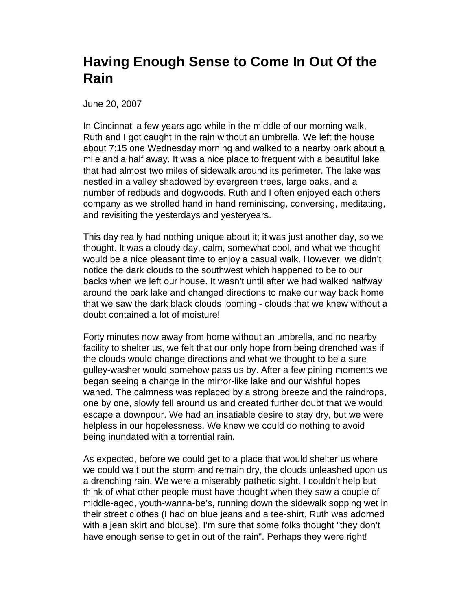## **Having Enough Sense to Come In Out Of the Rain**

June 20, 2007

In Cincinnati a few years ago while in the middle of our morning walk, Ruth and I got caught in the rain without an umbrella. We left the house about 7:15 one Wednesday morning and walked to a nearby park about a mile and a half away. It was a nice place to frequent with a beautiful lake that had almost two miles of sidewalk around its perimeter. The lake was nestled in a valley shadowed by evergreen trees, large oaks, and a number of redbuds and dogwoods. Ruth and I often enjoyed each others company as we strolled hand in hand reminiscing, conversing, meditating, and revisiting the yesterdays and yesteryears.

This day really had nothing unique about it; it was just another day, so we thought. It was a cloudy day, calm, somewhat cool, and what we thought would be a nice pleasant time to enjoy a casual walk. However, we didn't notice the dark clouds to the southwest which happened to be to our backs when we left our house. It wasn't until after we had walked halfway around the park lake and changed directions to make our way back home that we saw the dark black clouds looming - clouds that we knew without a doubt contained a lot of moisture!

Forty minutes now away from home without an umbrella, and no nearby facility to shelter us, we felt that our only hope from being drenched was if the clouds would change directions and what we thought to be a sure gulley-washer would somehow pass us by. After a few pining moments we began seeing a change in the mirror-like lake and our wishful hopes waned. The calmness was replaced by a strong breeze and the raindrops, one by one, slowly fell around us and created further doubt that we would escape a downpour. We had an insatiable desire to stay dry, but we were helpless in our hopelessness. We knew we could do nothing to avoid being inundated with a torrential rain.

As expected, before we could get to a place that would shelter us where we could wait out the storm and remain dry, the clouds unleashed upon us a drenching rain. We were a miserably pathetic sight. I couldn't help but think of what other people must have thought when they saw a couple of middle-aged, youth-wanna-be's, running down the sidewalk sopping wet in their street clothes (I had on blue jeans and a tee-shirt, Ruth was adorned with a jean skirt and blouse). I'm sure that some folks thought "they don't have enough sense to get in out of the rain". Perhaps they were right!